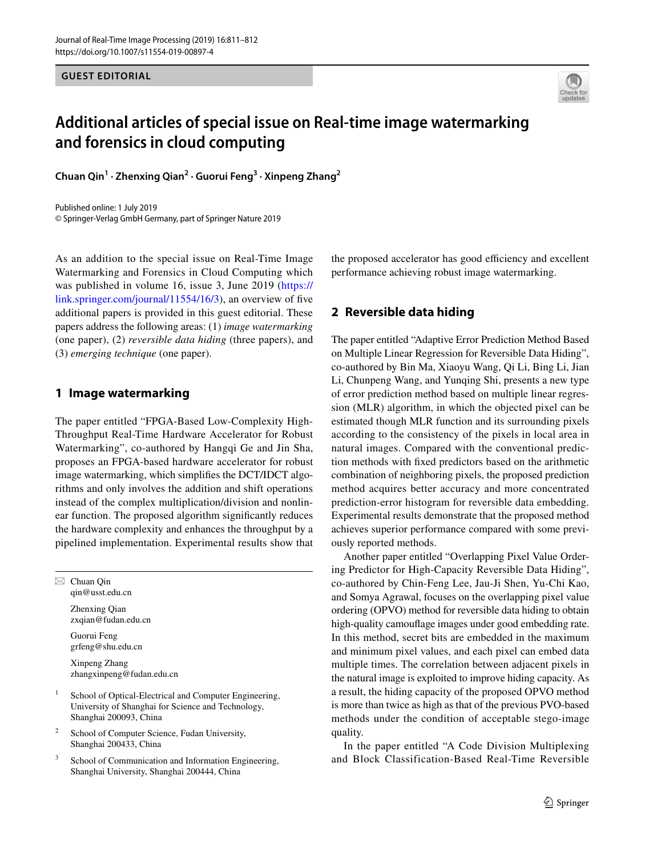**GUEST EDITORIAL**



## **Additional articles of special issue on Real‑time image watermarking and forensics in cloud computing**

**Chuan Qin<sup>1</sup> · Zhenxing Qian2 · Guorui Feng3 · Xinpeng Zhang2**

Published online: 1 July 2019 © Springer-Verlag GmbH Germany, part of Springer Nature 2019

As an addition to the special issue on Real-Time Image Watermarking and Forensics in Cloud Computing which was published in volume 16, issue 3, June 2019 ([https://](https://link.springer.com/journal/11554/16/3) [link.springer.com/journal/11554/16/3\)](https://link.springer.com/journal/11554/16/3), an overview of fve additional papers is provided in this guest editorial. These papers address the following areas: (1) *image watermarking* (one paper), (2) *reversible data hiding* (three papers), and (3) *emerging technique* (one paper).

## **1 Image watermarking**

The paper entitled "FPGA-Based Low-Complexity High-Throughput Real-Time Hardware Accelerator for Robust Watermarking", co-authored by Hangqi Ge and Jin Sha, proposes an FPGA-based hardware accelerator for robust image watermarking, which simplifes the DCT/IDCT algorithms and only involves the addition and shift operations instead of the complex multiplication/division and nonlinear function. The proposed algorithm signifcantly reduces the hardware complexity and enhances the throughput by a pipelined implementation. Experimental results show that

 $\boxtimes$  Chuan Qin qin@usst.edu.cn Zhenxing Qian

zxqian@fudan.edu.cn

Guorui Feng grfeng@shu.edu.cn

Xinpeng Zhang zhangxinpeng@fudan.edu.cn

- School of Optical-Electrical and Computer Engineering, University of Shanghai for Science and Technology, Shanghai 200093, China
- <sup>2</sup> School of Computer Science, Fudan University, Shanghai 200433, China
- <sup>3</sup> School of Communication and Information Engineering, Shanghai University, Shanghai 200444, China

the proposed accelerator has good efficiency and excellent performance achieving robust image watermarking.

## **2 Reversible data hiding**

The paper entitled "Adaptive Error Prediction Method Based on Multiple Linear Regression for Reversible Data Hiding", co-authored by Bin Ma, Xiaoyu Wang, Qi Li, Bing Li, Jian Li, Chunpeng Wang, and Yunqing Shi, presents a new type of error prediction method based on multiple linear regression (MLR) algorithm, in which the objected pixel can be estimated though MLR function and its surrounding pixels according to the consistency of the pixels in local area in natural images. Compared with the conventional prediction methods with fxed predictors based on the arithmetic combination of neighboring pixels, the proposed prediction method acquires better accuracy and more concentrated prediction-error histogram for reversible data embedding. Experimental results demonstrate that the proposed method achieves superior performance compared with some previously reported methods.

Another paper entitled "Overlapping Pixel Value Ordering Predictor for High-Capacity Reversible Data Hiding", co-authored by Chin-Feng Lee, Jau-Ji Shen, Yu-Chi Kao, and Somya Agrawal, focuses on the overlapping pixel value ordering (OPVO) method for reversible data hiding to obtain high-quality camoufage images under good embedding rate. In this method, secret bits are embedded in the maximum and minimum pixel values, and each pixel can embed data multiple times. The correlation between adjacent pixels in the natural image is exploited to improve hiding capacity. As a result, the hiding capacity of the proposed OPVO method is more than twice as high as that of the previous PVO-based methods under the condition of acceptable stego-image quality.

In the paper entitled "A Code Division Multiplexing and Block Classification-Based Real-Time Reversible